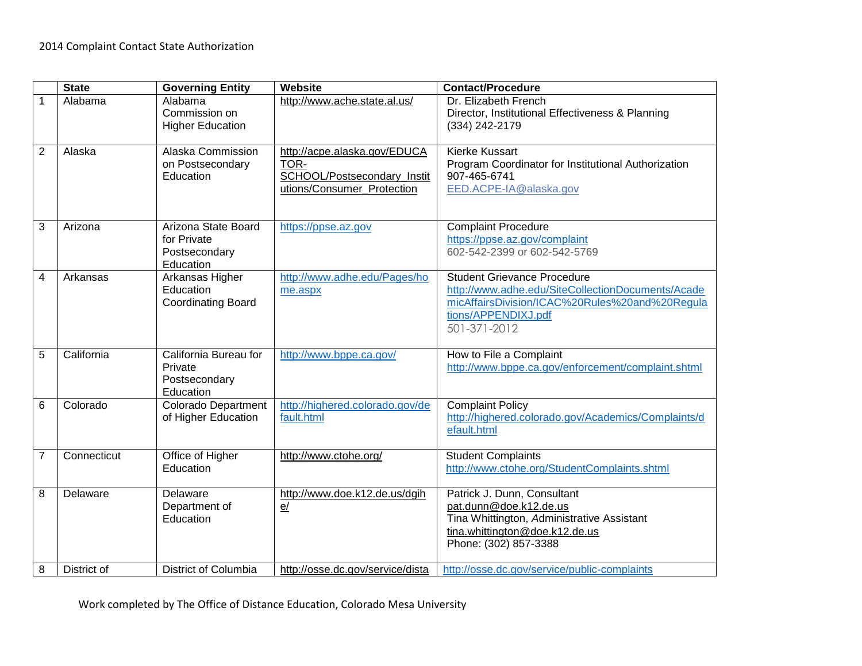|                | <b>State</b> | <b>Governing Entity</b>    | <b>Website</b>                   | <b>Contact/Procedure</b>                            |
|----------------|--------------|----------------------------|----------------------------------|-----------------------------------------------------|
|                |              |                            |                                  |                                                     |
| 1              | Alabama      | Alabama                    | http://www.ache.state.al.us/     | Dr. Elizabeth French                                |
|                |              | Commission on              |                                  | Director, Institutional Effectiveness & Planning    |
|                |              | <b>Higher Education</b>    |                                  | (334) 242-2179                                      |
|                |              |                            |                                  |                                                     |
| $\overline{2}$ | Alaska       | Alaska Commission          | http://acpe.alaska.gov/EDUCA     | <b>Kierke Kussart</b>                               |
|                |              | on Postsecondary           | TOR-                             | Program Coordinator for Institutional Authorization |
|                |              | Education                  | SCHOOL/Postsecondary Instit      | 907-465-6741                                        |
|                |              |                            | utions/Consumer Protection       | EED.ACPE-IA@alaska.gov                              |
|                |              |                            |                                  |                                                     |
|                |              |                            |                                  |                                                     |
| 3              | Arizona      | Arizona State Board        | https://ppse.az.gov              | <b>Complaint Procedure</b>                          |
|                |              | for Private                |                                  | https://ppse.az.gov/complaint                       |
|                |              | Postsecondary              |                                  | 602-542-2399 or 602-542-5769                        |
|                |              | Education                  |                                  |                                                     |
| 4              | Arkansas     | Arkansas Higher            | http://www.adhe.edu/Pages/ho     | <b>Student Grievance Procedure</b>                  |
|                |              | Education                  | me.aspx                          | http://www.adhe.edu/SiteCollectionDocuments/Acade   |
|                |              | <b>Coordinating Board</b>  |                                  | micAffairsDivision/ICAC%20Rules%20and%20Regula      |
|                |              |                            |                                  | tions/APPENDIXJ.pdf                                 |
|                |              |                            |                                  | 501-371-2012                                        |
|                |              |                            |                                  |                                                     |
| 5              | California   | California Bureau for      | http://www.bppe.ca.gov/          | How to File a Complaint                             |
|                |              | Private                    |                                  | http://www.bppe.ca.gov/enforcement/complaint.shtml  |
|                |              | Postsecondary              |                                  |                                                     |
|                |              | Education                  |                                  |                                                     |
| 6              | Colorado     | <b>Colorado Department</b> | http://highered.colorado.gov/de  | <b>Complaint Policy</b>                             |
|                |              | of Higher Education        | fault.html                       | http://highered.colorado.gov/Academics/Complaints/d |
|                |              |                            |                                  | efault.html                                         |
|                |              |                            |                                  |                                                     |
| 7              | Connecticut  | Office of Higher           | http://www.ctohe.org/            | <b>Student Complaints</b>                           |
|                |              | Education                  |                                  | http://www.ctohe.org/StudentComplaints.shtml        |
|                |              |                            |                                  |                                                     |
| 8              | Delaware     | Delaware                   | http://www.doe.k12.de.us/dgih    | Patrick J. Dunn, Consultant                         |
|                |              | Department of              | e/                               | pat.dunn@doe.k12.de.us                              |
|                |              | Education                  |                                  | Tina Whittington, Administrative Assistant          |
|                |              |                            |                                  | tina.whittington@doe.k12.de.us                      |
|                |              |                            |                                  | Phone: (302) 857-3388                               |
|                |              |                            |                                  |                                                     |
| 8              | District of  | District of Columbia       | http://osse.dc.gov/service/dista | http://osse.dc.gov/service/public-complaints        |

Work completed by The Office of Distance Education, Colorado Mesa University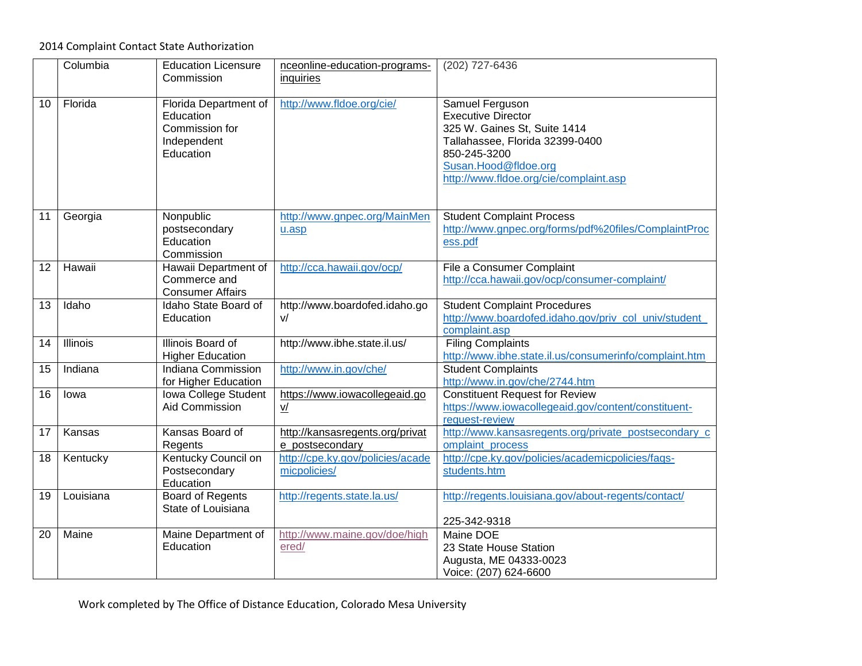## 2014 Complaint Contact State Authorization

|    | Columbia        | <b>Education Licensure</b><br>Commission                                         | nceonline-education-programs-<br>inquiries         | (202) 727-6436                                                                                                                                                                                    |
|----|-----------------|----------------------------------------------------------------------------------|----------------------------------------------------|---------------------------------------------------------------------------------------------------------------------------------------------------------------------------------------------------|
| 10 | Florida         | Florida Department of<br>Education<br>Commission for<br>Independent<br>Education | http://www.fldoe.org/cie/                          | Samuel Ferguson<br><b>Executive Director</b><br>325 W. Gaines St, Suite 1414<br>Tallahassee, Florida 32399-0400<br>850-245-3200<br>Susan.Hood@fldoe.org<br>http://www.fldoe.org/cie/complaint.asp |
| 11 | Georgia         | Nonpublic<br>postsecondary<br>Education<br>Commission                            | http://www.gnpec.org/MainMen<br>u.asp              | <b>Student Complaint Process</b><br>http://www.gnpec.org/forms/pdf%20files/ComplaintProc<br>ess.pdf                                                                                               |
| 12 | Hawaii          | Hawaii Department of<br>Commerce and<br><b>Consumer Affairs</b>                  | http://cca.hawaii.gov/ocp/                         | File a Consumer Complaint<br>http://cca.hawaii.gov/ocp/consumer-complaint/                                                                                                                        |
| 13 | Idaho           | Idaho State Board of<br>Education                                                | http://www.boardofed.idaho.go<br>v/                | <b>Student Complaint Procedures</b><br>http://www.boardofed.idaho.gov/priv col univ/student<br>complaint.asp                                                                                      |
| 14 | <b>Illinois</b> | Illinois Board of<br><b>Higher Education</b>                                     | http://www.ibhe.state.il.us/                       | <b>Filing Complaints</b><br>http://www.ibhe.state.il.us/consumerinfo/complaint.htm                                                                                                                |
| 15 | Indiana         | Indiana Commission<br>for Higher Education                                       | http://www.in.gov/che/                             | <b>Student Complaints</b><br>http://www.in.gov/che/2744.htm                                                                                                                                       |
| 16 | lowa            | Iowa College Student<br>Aid Commission                                           | https://www.iowacollegeaid.go<br>V/                | <b>Constituent Request for Review</b><br>https://www.iowacollegeaid.gov/content/constituent-<br>request-review                                                                                    |
| 17 | Kansas          | Kansas Board of<br>Regents                                                       | http://kansasregents.org/privat<br>e postsecondary | http://www.kansasregents.org/private_postsecondary_c<br>omplaint_process                                                                                                                          |
| 18 | Kentucky        | Kentucky Council on<br>Postsecondary<br>Education                                | http://cpe.ky.gov/policies/acade<br>micpolicies/   | http://cpe.ky.gov/policies/academicpolicies/faqs-<br>students.htm                                                                                                                                 |
| 19 | Louisiana       | <b>Board of Regents</b><br>State of Louisiana                                    | http://regents.state.la.us/                        | http://regents.louisiana.gov/about-regents/contact/<br>225-342-9318                                                                                                                               |
| 20 | Maine           | Maine Department of<br>Education                                                 | http://www.maine.gov/doe/high<br>ered/             | Maine DOE<br>23 State House Station<br>Augusta, ME 04333-0023<br>Voice: (207) 624-6600                                                                                                            |

Work completed by The Office of Distance Education, Colorado Mesa University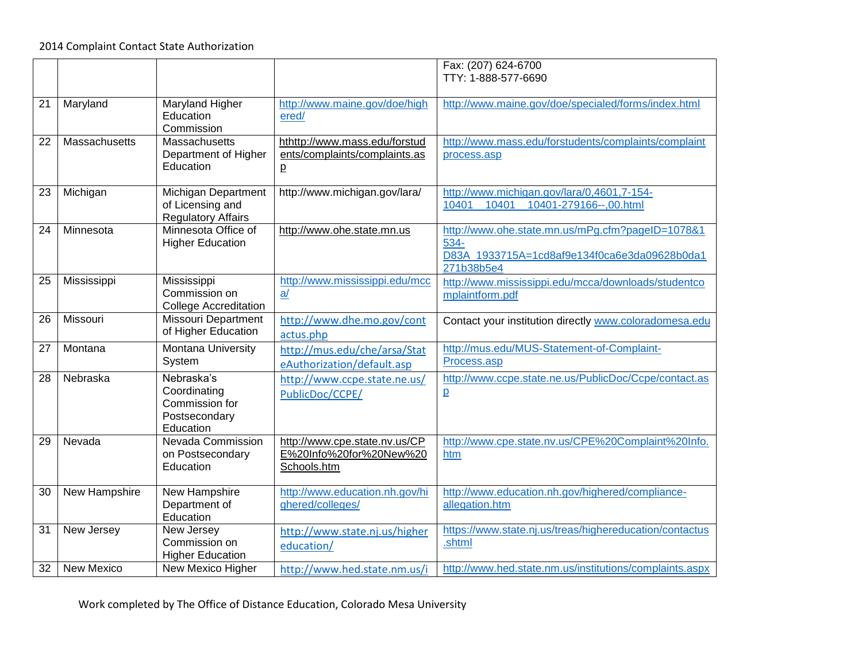|    |                   |                                                                            |                                                                         | Fax: (207) 624-6700<br>TTY: 1-888-577-6690                                                                             |
|----|-------------------|----------------------------------------------------------------------------|-------------------------------------------------------------------------|------------------------------------------------------------------------------------------------------------------------|
| 21 | Maryland          | Maryland Higher<br>Education<br>Commission                                 | http://www.maine.gov/doe/high<br>ered/                                  | http://www.maine.gov/doe/specialed/forms/index.html                                                                    |
| 22 | Massachusetts     | Massachusetts<br>Department of Higher<br>Education                         | hthttp://www.mass.edu/forstud<br>ents/complaints/complaints.as<br>p     | http://www.mass.edu/forstudents/complaints/complaint<br>process.asp                                                    |
| 23 | Michigan          | Michigan Department<br>of Licensing and<br><b>Regulatory Affairs</b>       | http://www.michigan.gov/lara/                                           | http://www.michigan.gov/lara/0,4601,7-154-<br>10401-279166--,00.html<br>10401<br>10401                                 |
| 24 | Minnesota         | Minnesota Office of<br><b>Higher Education</b>                             | http://www.ohe.state.mn.us                                              | http://www.ohe.state.mn.us/mPg.cfm?pageID=1078&1<br>534-<br>D83A 1933715A=1cd8af9e134f0ca6e3da09628b0da1<br>271b38b5e4 |
| 25 | Mississippi       | Mississippi<br>Commission on<br><b>College Accreditation</b>               | http://www.mississippi.edu/mcc<br>a/                                    | http://www.mississippi.edu/mcca/downloads/studentco<br>mplaintform.pdf                                                 |
| 26 | Missouri          | Missouri Department<br>of Higher Education                                 | http://www.dhe.mo.gov/cont<br>actus.php                                 | Contact your institution directly www.coloradomesa.edu                                                                 |
| 27 | Montana           | <b>Montana University</b><br>System                                        | http://mus.edu/che/arsa/Stat<br>eAuthorization/default.asp              | http://mus.edu/MUS-Statement-of-Complaint-<br>Process.asp                                                              |
| 28 | Nebraska          | Nebraska's<br>Coordinating<br>Commission for<br>Postsecondary<br>Education | http://www.ccpe.state.ne.us/<br>PublicDoc/CCPE/                         | http://www.ccpe.state.ne.us/PublicDoc/Ccpe/contact.as<br>$\overline{p}$                                                |
| 29 | Nevada            | Nevada Commission<br>on Postsecondary<br>Education                         | http://www.cpe.state.nv.us/CP<br>E%20Info%20for%20New%20<br>Schools.htm | http://www.cpe.state.nv.us/CPE%20Complaint%20Info.<br>htm                                                              |
| 30 | New Hampshire     | New Hampshire<br>Department of<br>Education                                | http://www.education.nh.gov/hi<br>ghered/colleges/                      | http://www.education.nh.gov/highered/compliance-<br>allegation.htm                                                     |
| 31 | New Jersey        | New Jersey<br>Commission on<br><b>Higher Education</b>                     | http://www.state.nj.us/higher<br>education/                             | https://www.state.nj.us/treas/highereducation/contactus<br>.shtml                                                      |
| 32 | <b>New Mexico</b> | New Mexico Higher                                                          | http://www.hed.state.nm.us/i                                            | http://www.hed.state.nm.us/institutions/complaints.aspx                                                                |

Work completed by The Office of Distance Education, Colorado Mesa University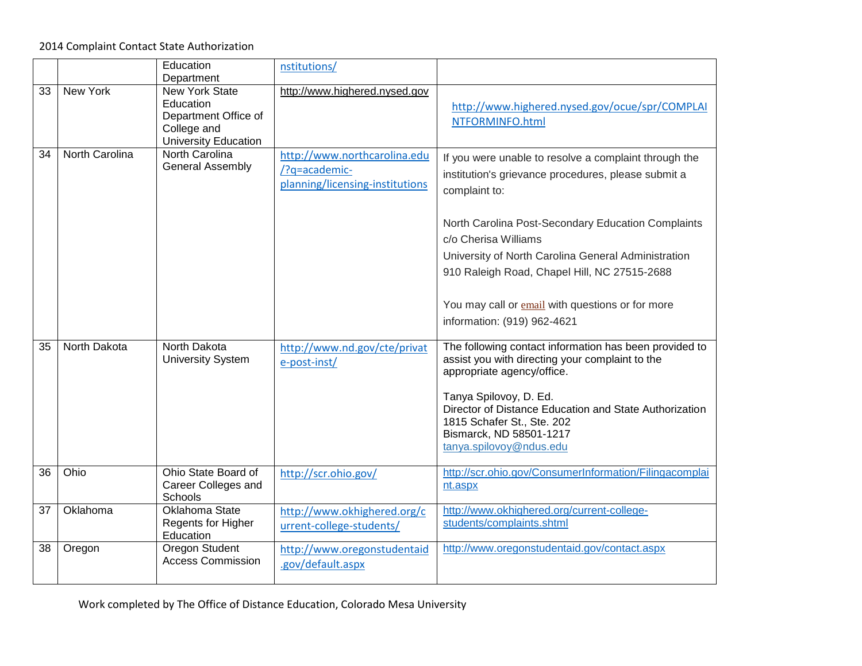2014 Complaint Contact State Authorization

|    |                | Education<br>Department                                                                                  | nstitutions/                                                                     |                                                                                                                                                                                                                                                                                                                                                                        |
|----|----------------|----------------------------------------------------------------------------------------------------------|----------------------------------------------------------------------------------|------------------------------------------------------------------------------------------------------------------------------------------------------------------------------------------------------------------------------------------------------------------------------------------------------------------------------------------------------------------------|
| 33 | New York       | <b>New York State</b><br>Education<br>Department Office of<br>College and<br><b>University Education</b> | http://www.highered.nysed.gov                                                    | http://www.highered.nysed.gov/ocue/spr/COMPLAI<br>NTFORMINFO.html                                                                                                                                                                                                                                                                                                      |
| 34 | North Carolina | North Carolina<br><b>General Assembly</b>                                                                | http://www.northcarolina.edu<br>/?q=academic-<br>planning/licensing-institutions | If you were unable to resolve a complaint through the<br>institution's grievance procedures, please submit a<br>complaint to:<br>North Carolina Post-Secondary Education Complaints<br>c/o Cherisa Williams<br>University of North Carolina General Administration<br>910 Raleigh Road, Chapel Hill, NC 27515-2688<br>You may call or email with questions or for more |
|    |                |                                                                                                          |                                                                                  | information: (919) 962-4621                                                                                                                                                                                                                                                                                                                                            |
| 35 | North Dakota   | North Dakota<br><b>University System</b>                                                                 | http://www.nd.gov/cte/privat<br>e-post-inst/                                     | The following contact information has been provided to<br>assist you with directing your complaint to the<br>appropriate agency/office.<br>Tanya Spilovoy, D. Ed.<br>Director of Distance Education and State Authorization<br>1815 Schafer St., Ste. 202<br>Bismarck, ND 58501-1217<br>tanya.spilovoy@ndus.edu                                                        |
| 36 | Ohio           | Ohio State Board of<br>Career Colleges and<br>Schools                                                    | http://scr.ohio.gov/                                                             | http://scr.ohio.gov/ConsumerInformation/Filingacomplai<br>nt.aspx                                                                                                                                                                                                                                                                                                      |
| 37 | Oklahoma       | Oklahoma State<br>Regents for Higher<br>Education                                                        | http://www.okhighered.org/c<br>urrent-college-students/                          | http://www.okhighered.org/current-college-<br>students/complaints.shtml                                                                                                                                                                                                                                                                                                |
| 38 | Oregon         | <b>Oregon Student</b><br><b>Access Commission</b>                                                        | http://www.oregonstudentaid<br>.gov/default.aspx                                 | http://www.oregonstudentaid.gov/contact.aspx                                                                                                                                                                                                                                                                                                                           |